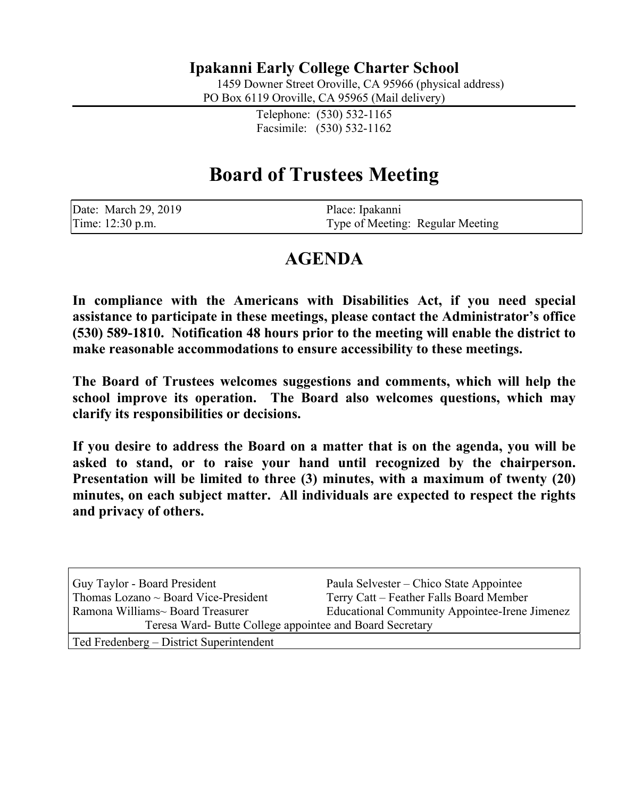# **Ipakanni Early College Charter School**

1459 Downer Street Oroville, CA 95966 (physical address)

PO Box 6119 Oroville, CA 95965 (Mail delivery)

Telephone: (530) 532-1165 Facsimile: (530) 532-1162

# **Board of Trustees Meeting**

| Date: March 29, 2019 | Place: Ipakanni                  |
|----------------------|----------------------------------|
| Time: 12:30 p.m.     | Type of Meeting: Regular Meeting |

# **AGENDA**

**In compliance with the Americans with Disabilities Act, if you need special assistance to participate in these meetings, please contact the Administrator's office (530) 589-1810. Notification 48 hours prior to the meeting will enable the district to make reasonable accommodations to ensure accessibility to these meetings.**

**The Board of Trustees welcomes suggestions and comments, which will help the school improve its operation. The Board also welcomes questions, which may clarify its responsibilities or decisions.**

**If you desire to address the Board on a matter that is on the agenda, you will be asked to stand, or to raise your hand until recognized by the chairperson. Presentation will be limited to three (3) minutes, with a maximum of twenty (20) minutes, on each subject matter. All individuals are expected to respect the rights and privacy of others.**

| Guy Taylor - Board President                             | Paula Selvester – Chico State Appointee              |  |
|----------------------------------------------------------|------------------------------------------------------|--|
| Thomas Lozano $\sim$ Board Vice-President                | Terry Catt – Feather Falls Board Member              |  |
| Ramona Williams~ Board Treasurer                         | <b>Educational Community Appointee-Irene Jimenez</b> |  |
| Teresa Ward- Butte College appointee and Board Secretary |                                                      |  |
| Ted Fredenberg – District Superintendent                 |                                                      |  |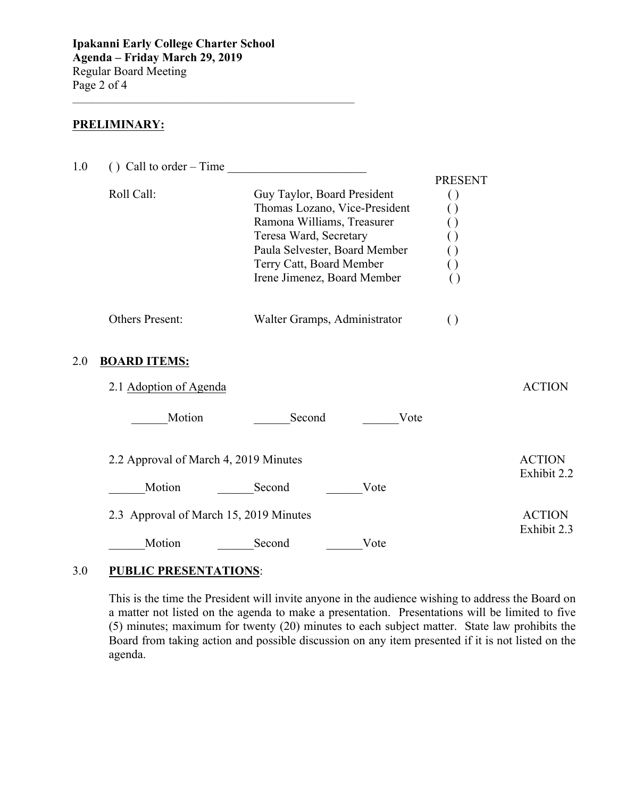$\mathcal{L}_\text{max}$  , and the set of the set of the set of the set of the set of the set of the set of the set of the set of the set of the set of the set of the set of the set of the set of the set of the set of the set of the

## **PRELIMINARY:**

| 1.0 | () Call to order – Time<br><u> 1980 - Jan Stein Berlin, amerikansk politiker</u> |                                                                                                                                                                                                                  |                                                                 |                              |  |
|-----|----------------------------------------------------------------------------------|------------------------------------------------------------------------------------------------------------------------------------------------------------------------------------------------------------------|-----------------------------------------------------------------|------------------------------|--|
|     | Roll Call:                                                                       | Guy Taylor, Board President<br>Thomas Lozano, Vice-President<br>Ramona Williams, Treasurer<br>Teresa Ward, Secretary<br>Paula Selvester, Board Member<br>Terry Catt, Board Member<br>Irene Jimenez, Board Member | <b>PRESENT</b><br>$\left( \ \right)$<br>( )<br>$\left( \right)$ |                              |  |
|     | Others Present:                                                                  | Walter Gramps, Administrator                                                                                                                                                                                     | $\left( \right)$                                                |                              |  |
| 2.0 | <b>BOARD ITEMS:</b>                                                              |                                                                                                                                                                                                                  |                                                                 |                              |  |
|     | 2.1 Adoption of Agenda                                                           |                                                                                                                                                                                                                  |                                                                 | <b>ACTION</b>                |  |
|     | Motion                                                                           | Second<br>Vote                                                                                                                                                                                                   |                                                                 |                              |  |
|     | 2.2 Approval of March 4, 2019 Minutes                                            |                                                                                                                                                                                                                  |                                                                 | <b>ACTION</b>                |  |
|     | Motion                                                                           | Second<br>Vote                                                                                                                                                                                                   |                                                                 | Exhibit 2.2                  |  |
|     | 2.3 Approval of March 15, 2019 Minutes                                           |                                                                                                                                                                                                                  |                                                                 | <b>ACTION</b><br>Exhibit 2.3 |  |
|     | Motion                                                                           | Second<br>Vote                                                                                                                                                                                                   |                                                                 |                              |  |

### 3.0 **PUBLIC PRESENTATIONS**:

This is the time the President will invite anyone in the audience wishing to address the Board on a matter not listed on the agenda to make a presentation. Presentations will be limited to five (5) minutes; maximum for twenty (20) minutes to each subject matter. State law prohibits the Board from taking action and possible discussion on any item presented if it is not listed on the agenda.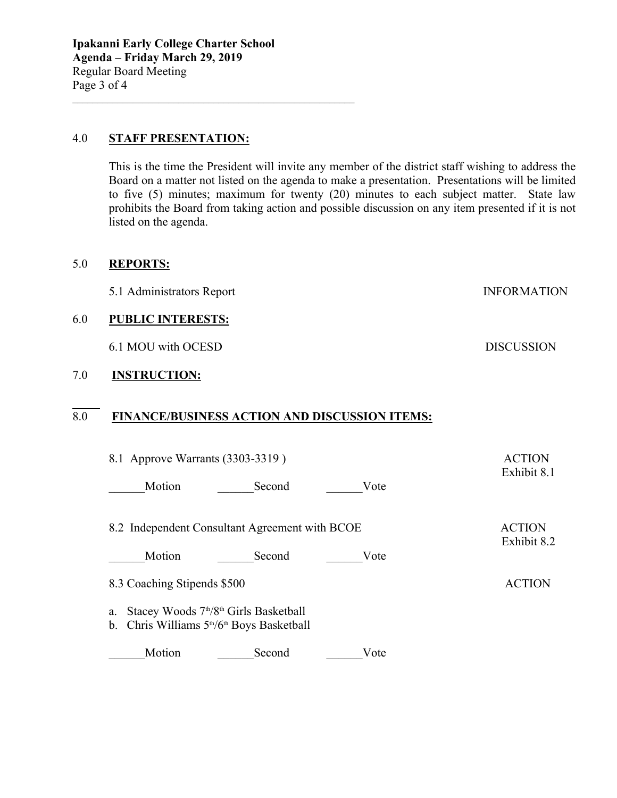#### 4.0 **STAFF PRESENTATION:**

This is the time the President will invite any member of the district staff wishing to address the Board on a matter not listed on the agenda to make a presentation. Presentations will be limited to five (5) minutes; maximum for twenty (20) minutes to each subject matter. State law prohibits the Board from taking action and possible discussion on any item presented if it is not listed on the agenda.

#### 5.0 **REPORTS:**

5.1 Administrators Report INFORMATION

 $\mathcal{L}_\text{max}$  , and the set of the set of the set of the set of the set of the set of the set of the set of the set of the set of the set of the set of the set of the set of the set of the set of the set of the set of the

#### 6.0 **PUBLIC INTERESTS:**

6.1 MOU with OCESD DISCUSSION

## 7.0 **INSTRUCTION:**

## 8.0 **FINANCE/BUSINESS ACTION AND DISCUSSION ITEMS:**

| 8.1 Approve Warrants (3303-3319)                                                                                            | <b>ACTION</b><br>Exhibit 8.1 |                              |
|-----------------------------------------------------------------------------------------------------------------------------|------------------------------|------------------------------|
| Motion<br>Second                                                                                                            | Vote                         |                              |
| 8.2 Independent Consultant Agreement with BCOE                                                                              |                              | <b>ACTION</b><br>Exhibit 8.2 |
| Motion<br>Second                                                                                                            | Vote                         |                              |
| 8.3 Coaching Stipends \$500                                                                                                 |                              | <b>ACTION</b>                |
| Stacey Woods 7 <sup>th</sup> /8 <sup>th</sup> Girls Basketball<br>a.<br>Chris Williams $5th/6th$ Boys Basketball<br>$b_{-}$ |                              |                              |
| Motion<br>Second                                                                                                            | Vote                         |                              |